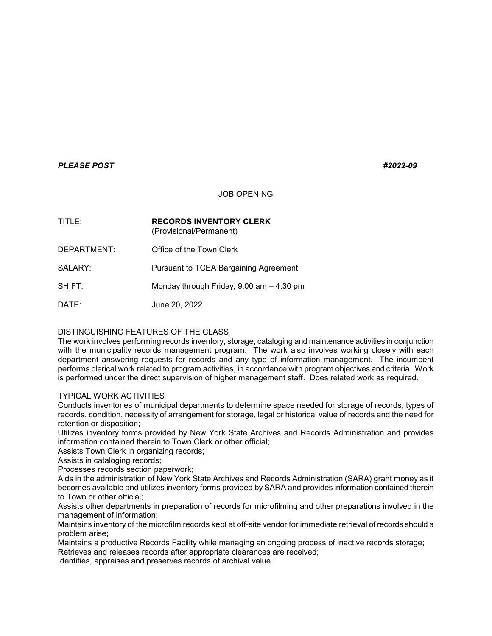# *PLEASE POST #2022-09*

### JOB OPENING

| TITLE:        | <b>RECORDS INVENTORY CLERK</b><br>(Provisional/Permanent) |
|---------------|-----------------------------------------------------------|
| DEPARTMENT:   | Office of the Town Clerk                                  |
| SALARY:       | <b>Pursuant to TCEA Bargaining Agreement</b>              |
| <b>SHIFT:</b> | Monday through Friday, $9:00$ am $-4:30$ pm               |
| DATF∸         | June 20, 2022                                             |

### DISTINGUISHING FEATURES OF THE CLASS

The work involves performing records inventory, storage, cataloging and maintenance activities in conjunction with the municipality records management program. The work also involves working closely with each department answering requests for records and any type of information management. The incumbent performs clerical work related to program activities, in accordance with program objectives and criteria. Work is performed under the direct supervision of higher management staff. Does related work as required.

### TYPICAL WORK ACTIVITIES

Conducts inventories of municipal departments to determine space needed for storage of records, types of records, condition, necessity of arrangement for storage, legal or historical value of records and the need for retention or disposition;

Utilizes inventory forms provided by New York State Archives and Records Administration and provides information contained therein to Town Clerk or other official;

Assists Town Clerk in organizing records;

Assists in cataloging records;

Processes records section paperwork;

Aids in the administration of New York State Archives and Records Administration (SARA) grant money as it becomes available and utilizes inventory forms provided by SARA and provides information contained therein to Town or other official;

Assists other departments in preparation of records for microfilming and other preparations involved in the management of information;

Maintains inventory of the microfilm records kept at off-site vendor for immediate retrieval of records should a problem arise;

Maintains a productive Records Facility while managing an ongoing process of inactive records storage; Retrieves and releases records after appropriate clearances are received;

Identifies, appraises and preserves records of archival value.